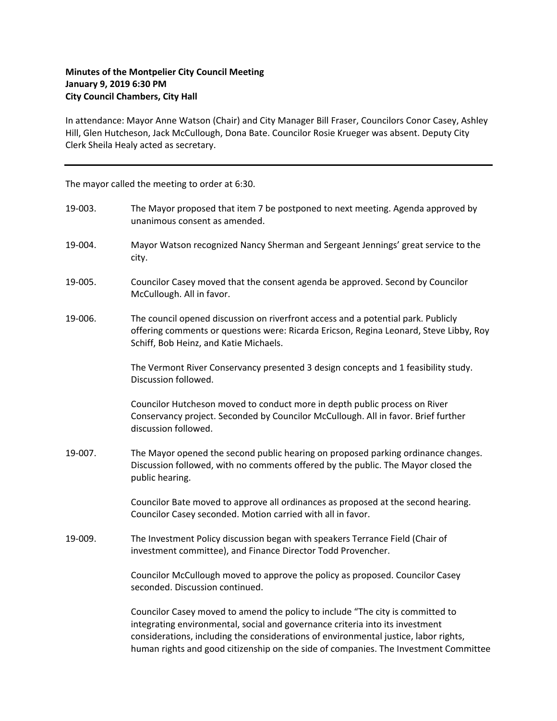## **Minutes of the Montpelier City Council Meeting January 9, 2019 6:30 PM City Council Chambers, City Hall**

In attendance: Mayor Anne Watson (Chair) and City Manager Bill Fraser, Councilors Conor Casey, Ashley Hill, Glen Hutcheson, Jack McCullough, Dona Bate. Councilor Rosie Krueger was absent. Deputy City Clerk Sheila Healy acted as secretary.

The mayor called the meeting to order at 6:30.

| 19-003. | The Mayor proposed that item 7 be postponed to next meeting. Agenda approved by<br>unanimous consent as amended.                                                                                                                                                                                                                                |
|---------|-------------------------------------------------------------------------------------------------------------------------------------------------------------------------------------------------------------------------------------------------------------------------------------------------------------------------------------------------|
| 19-004. | Mayor Watson recognized Nancy Sherman and Sergeant Jennings' great service to the<br>city.                                                                                                                                                                                                                                                      |
| 19-005. | Councilor Casey moved that the consent agenda be approved. Second by Councilor<br>McCullough. All in favor.                                                                                                                                                                                                                                     |
| 19-006. | The council opened discussion on riverfront access and a potential park. Publicly<br>offering comments or questions were: Ricarda Ericson, Regina Leonard, Steve Libby, Roy<br>Schiff, Bob Heinz, and Katie Michaels.                                                                                                                           |
|         | The Vermont River Conservancy presented 3 design concepts and 1 feasibility study.<br>Discussion followed.                                                                                                                                                                                                                                      |
|         | Councilor Hutcheson moved to conduct more in depth public process on River<br>Conservancy project. Seconded by Councilor McCullough. All in favor. Brief further<br>discussion followed.                                                                                                                                                        |
| 19-007. | The Mayor opened the second public hearing on proposed parking ordinance changes.<br>Discussion followed, with no comments offered by the public. The Mayor closed the<br>public hearing.                                                                                                                                                       |
|         | Councilor Bate moved to approve all ordinances as proposed at the second hearing.<br>Councilor Casey seconded. Motion carried with all in favor.                                                                                                                                                                                                |
| 19-009. | The Investment Policy discussion began with speakers Terrance Field (Chair of<br>investment committee), and Finance Director Todd Provencher.                                                                                                                                                                                                   |
|         | Councilor McCullough moved to approve the policy as proposed. Councilor Casey<br>seconded. Discussion continued.                                                                                                                                                                                                                                |
|         | Councilor Casey moved to amend the policy to include "The city is committed to<br>integrating environmental, social and governance criteria into its investment<br>considerations, including the considerations of environmental justice, labor rights,<br>human rights and good citizenship on the side of companies. The Investment Committee |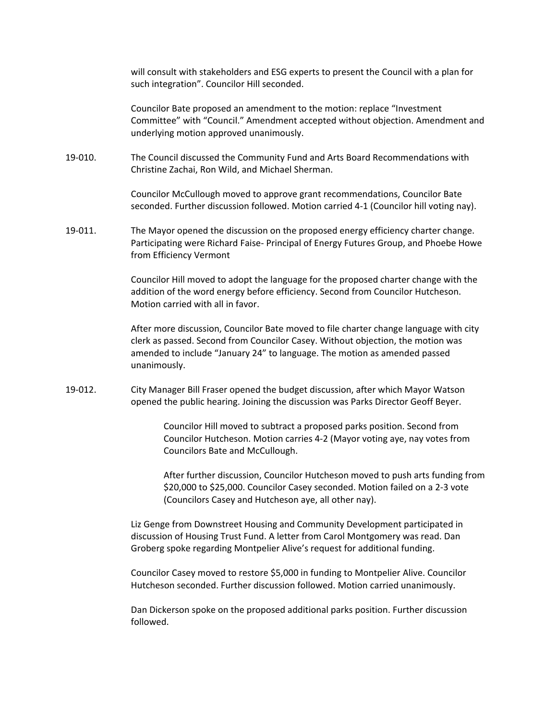will consult with stakeholders and ESG experts to present the Council with a plan for such integration". Councilor Hill seconded.

Councilor Bate proposed an amendment to the motion: replace "Investment Committee" with "Council." Amendment accepted without objection. Amendment and underlying motion approved unanimously.

19‐010. The Council discussed the Community Fund and Arts Board Recommendations with Christine Zachai, Ron Wild, and Michael Sherman.

> Councilor McCullough moved to approve grant recommendations, Councilor Bate seconded. Further discussion followed. Motion carried 4‐1 (Councilor hill voting nay).

19‐011. The Mayor opened the discussion on the proposed energy efficiency charter change. Participating were Richard Faise‐ Principal of Energy Futures Group, and Phoebe Howe from Efficiency Vermont

> Councilor Hill moved to adopt the language for the proposed charter change with the addition of the word energy before efficiency. Second from Councilor Hutcheson. Motion carried with all in favor.

> After more discussion, Councilor Bate moved to file charter change language with city clerk as passed. Second from Councilor Casey. Without objection, the motion was amended to include "January 24" to language. The motion as amended passed unanimously.

19‐012. City Manager Bill Fraser opened the budget discussion, after which Mayor Watson opened the public hearing. Joining the discussion was Parks Director Geoff Beyer.

> Councilor Hill moved to subtract a proposed parks position. Second from Councilor Hutcheson. Motion carries 4‐2 (Mayor voting aye, nay votes from Councilors Bate and McCullough.

After further discussion, Councilor Hutcheson moved to push arts funding from \$20,000 to \$25,000. Councilor Casey seconded. Motion failed on a 2‐3 vote (Councilors Casey and Hutcheson aye, all other nay).

Liz Genge from Downstreet Housing and Community Development participated in discussion of Housing Trust Fund. A letter from Carol Montgomery was read. Dan Groberg spoke regarding Montpelier Alive's request for additional funding.

Councilor Casey moved to restore \$5,000 in funding to Montpelier Alive. Councilor Hutcheson seconded. Further discussion followed. Motion carried unanimously.

Dan Dickerson spoke on the proposed additional parks position. Further discussion followed.